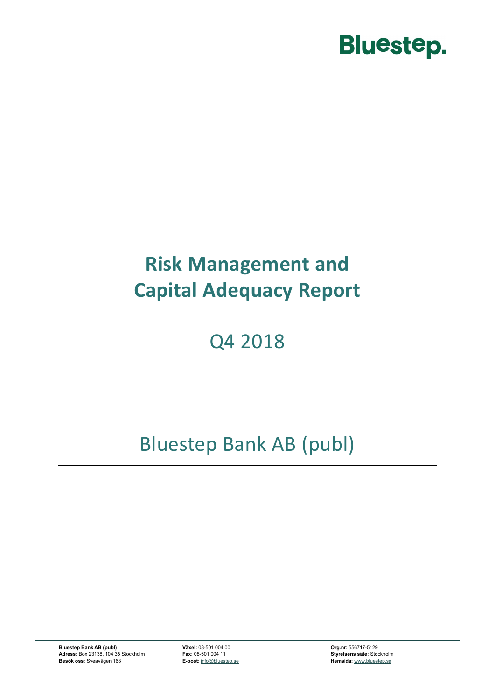

# **Risk Management and Capital Adequacy Report**

# Q4 2018

# Bluestep Bank AB (publ)

**Bluestep Bank AB (publ) Växel:** 08-501 004 00 **Org.nr:** 556717-5129 **Adress:** Box 23138, 104 35 Stockholm **Fax:** 08-501 004 11 **Styrelsens säte:** Stockholm **Besök oss:** Sveavägen 163 **E-post:** [info@bluestep.se](mailto:info@bluestep.se) **Hemsida:** [www.bluestep.se](http://www.bluestep.se/)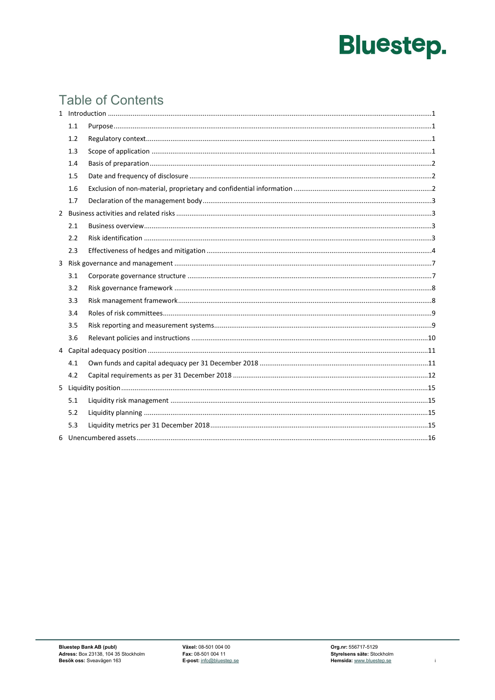# **Table of Contents**

| 1.1 |  |
|-----|--|
| 1.2 |  |
| 1.3 |  |
| 1.4 |  |
| 1.5 |  |
| 1.6 |  |
| 1.7 |  |
|     |  |
| 2.1 |  |
| 2.2 |  |
| 2.3 |  |
|     |  |
| 3.1 |  |
| 3.2 |  |
| 3.3 |  |
| 3.4 |  |
| 3.5 |  |
| 3.6 |  |
|     |  |
| 4.1 |  |
| 4.2 |  |
|     |  |
| 5.1 |  |
| 5.2 |  |
| 5.3 |  |
|     |  |

 $\mathbf{i}$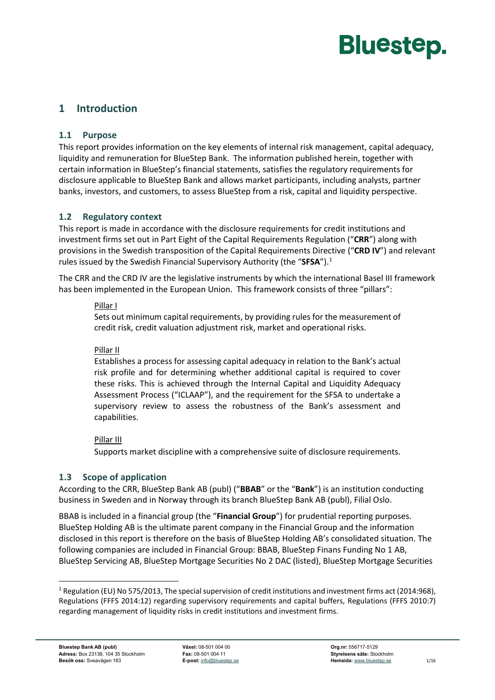# <span id="page-2-1"></span><span id="page-2-0"></span>**1 Introduction**

#### **1.1 Purpose**

This report provides information on the key elements of internal risk management, capital adequacy, liquidity and remuneration for BlueStep Bank. The information published herein, together with certain information in BlueStep's financial statements, satisfies the regulatory requirements for disclosure applicable to BlueStep Bank and allows market participants, including analysts, partner banks, investors, and customers, to assess BlueStep from a risk, capital and liquidity perspective.

#### <span id="page-2-2"></span>**1.2 Regulatory context**

This report is made in accordance with the disclosure requirements for credit institutions and investment firms set out in Part Eight of the Capital Requirements Regulation ("**CRR**") along with provisions in the Swedish transposition of the Capital Requirements Directive ("**CRD IV**") and relevant rules issued by the Swedish Financial Supervisory Authority (the "**SFSA**").[1](#page-2-4)

The CRR and the CRD IV are the legislative instruments by which the international Basel III framework has been implemented in the European Union. This framework consists of three "pillars":

#### Pillar I

Sets out minimum capital requirements, by providing rules for the measurement of credit risk, credit valuation adjustment risk, market and operational risks.

#### Pillar II

Establishes a process for assessing capital adequacy in relation to the Bank's actual risk profile and for determining whether additional capital is required to cover these risks. This is achieved through the Internal Capital and Liquidity Adequacy Assessment Process ("ICLAAP"), and the requirement for the SFSA to undertake a supervisory review to assess the robustness of the Bank's assessment and capabilities.

#### Pillar III

Supports market discipline with a comprehensive suite of disclosure requirements.

#### <span id="page-2-3"></span>**1.3 Scope of application**

According to the CRR, BlueStep Bank AB (publ) ("**BBAB**" or the "**Bank**") is an institution conducting business in Sweden and in Norway through its branch BlueStep Bank AB (publ), Filial Oslo.

BBAB is included in a financial group (the "**Financial Group**") for prudential reporting purposes. BlueStep Holding AB is the ultimate parent company in the Financial Group and the information disclosed in this report is therefore on the basis of BlueStep Holding AB's consolidated situation. The following companies are included in Financial Group: BBAB, BlueStep Finans Funding No 1 AB, BlueStep Servicing AB, BlueStep Mortgage Securities No 2 DAC (listed), BlueStep Mortgage Securities

<span id="page-2-4"></span><sup>&</sup>lt;sup>1</sup> Regulation (EU) No 575/2013, The special supervision of credit institutions and investment firms act (2014:968), Regulations (FFFS 2014:12) regarding supervisory requirements and capital buffers, Regulations (FFFS 2010:7) regarding management of liquidity risks in credit institutions and investment firms.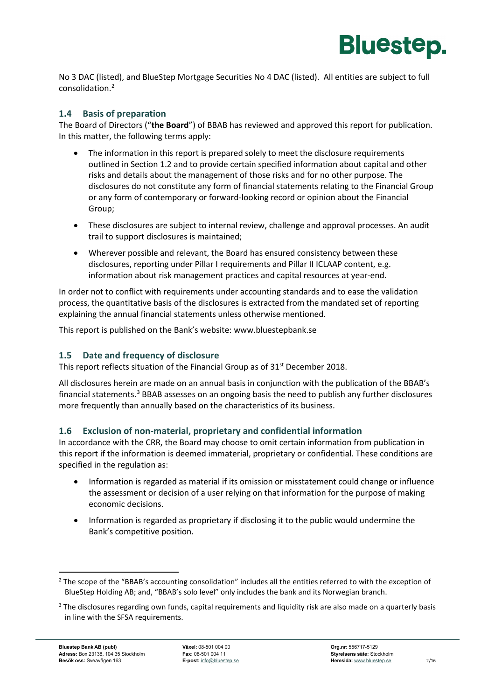

No 3 DAC (listed), and BlueStep Mortgage Securities No 4 DAC (listed). All entities are subject to full consolidation.[2](#page-3-3)

#### <span id="page-3-0"></span>**1.4 Basis of preparation**

The Board of Directors ("**the Board**") of BBAB has reviewed and approved this report for publication. In this matter, the following terms apply:

- The information in this report is prepared solely to meet the disclosure requirements outlined in Section [1.2](#page-2-2) and to provide certain specified information about capital and other risks and details about the management of those risks and for no other purpose. The disclosures do not constitute any form of financial statements relating to the Financial Group or any form of contemporary or forward-looking record or opinion about the Financial Group;
- These disclosures are subject to internal review, challenge and approval processes. An audit trail to support disclosures is maintained;
- Wherever possible and relevant, the Board has ensured consistency between these disclosures, reporting under Pillar I requirements and Pillar II ICLAAP content, e.g. information about risk management practices and capital resources at year-end.

In order not to conflict with requirements under accounting standards and to ease the validation process, the quantitative basis of the disclosures is extracted from the mandated set of reporting explaining the annual financial statements unless otherwise mentioned.

This report is published on the Bank's website: [www.bluestepbank.se](http://www.bluestepbank.se/)

#### <span id="page-3-1"></span>**1.5 Date and frequency of disclosure**

This report reflects situation of the Financial Group as of 31<sup>st</sup> December 2018.

All disclosures herein are made on an annual basis in conjunction with the publication of the BBAB's financial statements.[3](#page-3-4) BBAB assesses on an ongoing basis the need to publish any further disclosures more frequently than annually based on the characteristics of its business.

#### <span id="page-3-2"></span>**1.6 Exclusion of non-material, proprietary and confidential information**

In accordance with the CRR, the Board may choose to omit certain information from publication in this report if the information is deemed immaterial, proprietary or confidential. These conditions are specified in the regulation as:

- Information is regarded as material if its omission or misstatement could change or influence the assessment or decision of a user relying on that information for the purpose of making economic decisions.
- Information is regarded as proprietary if disclosing it to the public would undermine the Bank's competitive position.

<span id="page-3-3"></span><sup>&</sup>lt;sup>2</sup> The scope of the "BBAB's accounting consolidation" includes all the entities referred to with the exception of BlueStep Holding AB; and, "BBAB's solo level" only includes the bank and its Norwegian branch.

<span id="page-3-4"></span><sup>&</sup>lt;sup>3</sup> The disclosures regarding own funds, capital requirements and liquidity risk are also made on a quarterly basis in line with the SFSA requirements.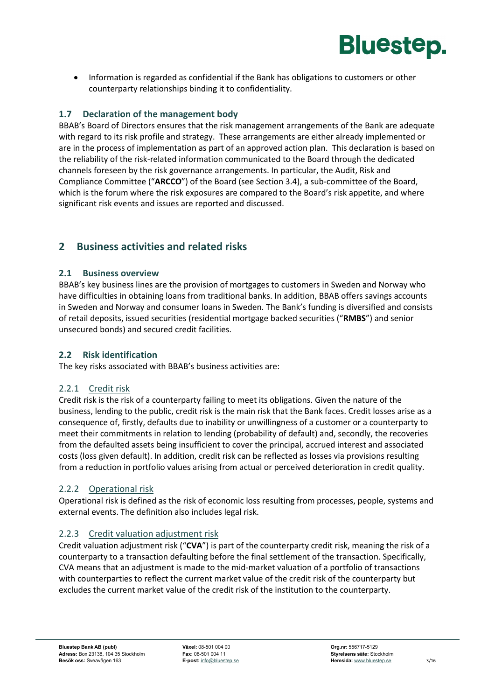

• Information is regarded as confidential if the Bank has obligations to customers or other counterparty relationships binding it to confidentiality.

#### <span id="page-4-0"></span>**1.7 Declaration of the management body**

BBAB's Board of Directors ensures that the risk management arrangements of the Bank are adequate with regard to its risk profile and strategy. These arrangements are either already implemented or are in the process of implementation as part of an approved action plan. This declaration is based on the reliability of the risk-related information communicated to the Board through the dedicated channels foreseen by the risk governance arrangements. In particular, the Audit, Risk and Compliance Committee ("**ARCCO**") of the Board (see Section [3.4\)](#page-10-0), a sub-committee of the Board, which is the forum where the risk exposures are compared to the Board's risk appetite, and where significant risk events and issues are reported and discussed.

### <span id="page-4-2"></span><span id="page-4-1"></span>**2 Business activities and related risks**

#### **2.1 Business overview**

BBAB's key business lines are the provision of mortgages to customers in Sweden and Norway who have difficulties in obtaining loans from traditional banks. In addition, BBAB offers savings accounts in Sweden and Norway and consumer loans in Sweden. The Bank's funding is diversified and consists of retail deposits, issued securities (residential mortgage backed securities ("**RMBS**") and senior unsecured bonds) and secured credit facilities.

#### <span id="page-4-3"></span>**2.2 Risk identification**

The key risks associated with BBAB's business activities are:

#### 2.2.1 Credit risk

Credit risk is the risk of a counterparty failing to meet its obligations. Given the nature of the business, lending to the public, credit risk is the main risk that the Bank faces. Credit losses arise as a consequence of, firstly, defaults due to inability or unwillingness of a customer or a counterparty to meet their commitments in relation to lending (probability of default) and, secondly, the recoveries from the defaulted assets being insufficient to cover the principal, accrued interest and associated costs (loss given default). In addition, credit risk can be reflected as losses via provisions resulting from a reduction in portfolio values arising from actual or perceived deterioration in credit quality.

#### 2.2.2 Operational risk

Operational risk is defined as the risk of economic loss resulting from processes, people, systems and external events. The definition also includes legal risk.

#### 2.2.3 Credit valuation adjustment risk

Credit valuation adjustment risk ("**CVA**") is part of the counterparty credit risk, meaning the risk of a counterparty to a transaction defaulting before the final settlement of the transaction. Specifically, CVA means that an adjustment is made to the mid-market valuation of a portfolio of transactions with counterparties to reflect the current market value of the credit risk of the counterparty but excludes the current market value of the credit risk of the institution to the counterparty.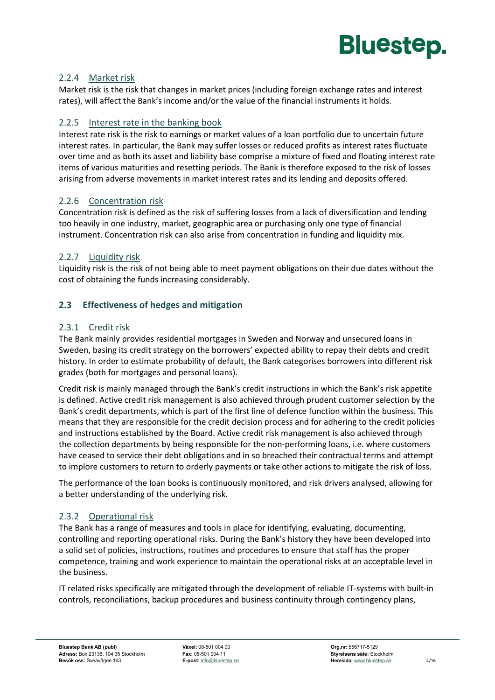

#### 2.2.4 Market risk

Market risk is the risk that changes in market prices (including foreign exchange rates and interest rates), will affect the Bank's income and/or the value of the financial instruments it holds.

#### 2.2.5 Interest rate in the banking book

Interest rate risk is the risk to earnings or market values of a loan portfolio due to uncertain future interest rates. In particular, the Bank may suffer losses or reduced profits as interest rates fluctuate over time and as both its asset and liability base comprise a mixture of fixed and floating interest rate items of various maturities and resetting periods. The Bank is therefore exposed to the risk of losses arising from adverse movements in market interest rates and its lending and deposits offered.

#### 2.2.6 Concentration risk

Concentration risk is defined as the risk of suffering losses from a lack of diversification and lending too heavily in one industry, market, geographic area or purchasing only one type of financial instrument. Concentration risk can also arise from concentration in funding and liquidity mix.

#### 2.2.7 Liquidity risk

Liquidity risk is the risk of not being able to meet payment obligations on their due dates without the cost of obtaining the funds increasing considerably.

#### <span id="page-5-0"></span>**2.3 Effectiveness of hedges and mitigation**

#### 2.3.1 Credit risk

The Bank mainly provides residential mortgages in Sweden and Norway and unsecured loans in Sweden, basing its credit strategy on the borrowers' expected ability to repay their debts and credit history. In order to estimate probability of default, the Bank categorises borrowers into different risk grades (both for mortgages and personal loans).

Credit risk is mainly managed through the Bank's credit instructions in which the Bank's risk appetite is defined. Active credit risk management is also achieved through prudent customer selection by the Bank's credit departments, which is part of the first line of defence function within the business. This means that they are responsible for the credit decision process and for adhering to the credit policies and instructions established by the Board. Active credit risk management is also achieved through the collection departments by being responsible for the non-performing loans, i.e. where customers have ceased to service their debt obligations and in so breached their contractual terms and attempt to implore customers to return to orderly payments or take other actions to mitigate the risk of loss.

The performance of the loan books is continuously monitored, and risk drivers analysed, allowing for a better understanding of the underlying risk.

#### 2.3.2 Operational risk

The Bank has a range of measures and tools in place for identifying, evaluating, documenting, controlling and reporting operational risks. During the Bank's history they have been developed into a solid set of policies, instructions, routines and procedures to ensure that staff has the proper competence, training and work experience to maintain the operational risks at an acceptable level in the business.

IT related risks specifically are mitigated through the development of reliable IT-systems with built-in controls, reconciliations, backup procedures and business continuity through contingency plans,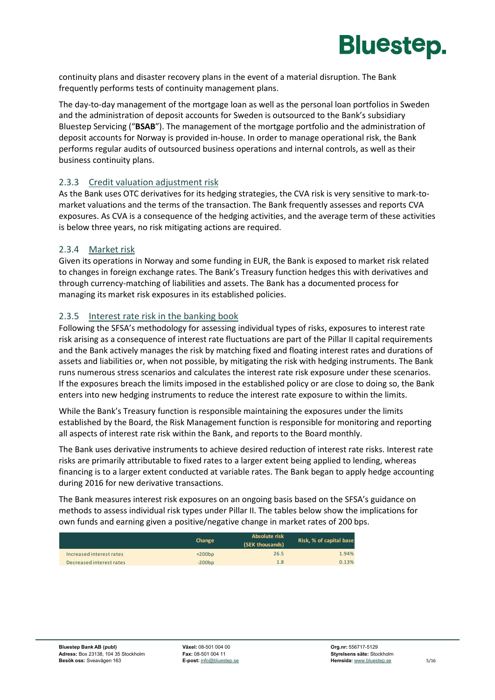

continuity plans and disaster recovery plans in the event of a material disruption. The Bank frequently performs tests of continuity management plans.

The day-to-day management of the mortgage loan as well as the personal loan portfolios in Sweden and the administration of deposit accounts for Sweden is outsourced to the Bank's subsidiary Bluestep Servicing ("**BSAB**"). The management of the mortgage portfolio and the administration of deposit accounts for Norway is provided in-house. In order to manage operational risk, the Bank performs regular audits of outsourced business operations and internal controls, as well as their business continuity plans.

#### 2.3.3 Credit valuation adjustment risk

As the Bank uses OTC derivatives for its hedging strategies, the CVA risk is very sensitive to mark-tomarket valuations and the terms of the transaction. The Bank frequently assesses and reports CVA exposures. As CVA is a consequence of the hedging activities, and the average term of these activities is below three years, no risk mitigating actions are required.

#### 2.3.4 Market risk

Given its operations in Norway and some funding in EUR, the Bank is exposed to market risk related to changes in foreign exchange rates. The Bank's Treasury function hedges this with derivatives and through currency-matching of liabilities and assets. The Bank has a documented process for managing its market risk exposures in its established policies.

#### 2.3.5 Interest rate risk in the banking book

Following the SFSA's methodology for assessing individual types of risks, exposures to interest rate risk arising as a consequence of interest rate fluctuations are part of the Pillar II capital requirements and the Bank actively manages the risk by matching fixed and floating interest rates and durations of assets and liabilities or, when not possible, by mitigating the risk with hedging instruments. The Bank runs numerous stress scenarios and calculates the interest rate risk exposure under these scenarios. If the exposures breach the limits imposed in the established policy or are close to doing so, the Bank enters into new hedging instruments to reduce the interest rate exposure to within the limits.

While the Bank's Treasury function is responsible maintaining the exposures under the limits established by the Board, the Risk Management function is responsible for monitoring and reporting all aspects of interest rate risk within the Bank, and reports to the Board monthly.

The Bank uses derivative instruments to achieve desired reduction of interest rate risks. Interest rate risks are primarily attributable to fixed rates to a larger extent being applied to lending, whereas financing is to a larger extent conducted at variable rates. The Bank began to apply hedge accounting during 2016 for new derivative transactions.

The Bank measures interest risk exposures on an ongoing basis based on the SFSA's guidance on methods to assess individual risk types under Pillar II. The tables below show the implications for own funds and earning given a positive/negative change in market rates of 200 bps.

|                          | Change   | Absolute risk<br>(SEK thousands) | Risk, % of capital base |
|--------------------------|----------|----------------------------------|-------------------------|
| Increased interest rates | $+200bp$ | 26.5                             | 1.94%                   |
| Decreased interest rates | $-200bp$ | 1.8                              | 0.13%                   |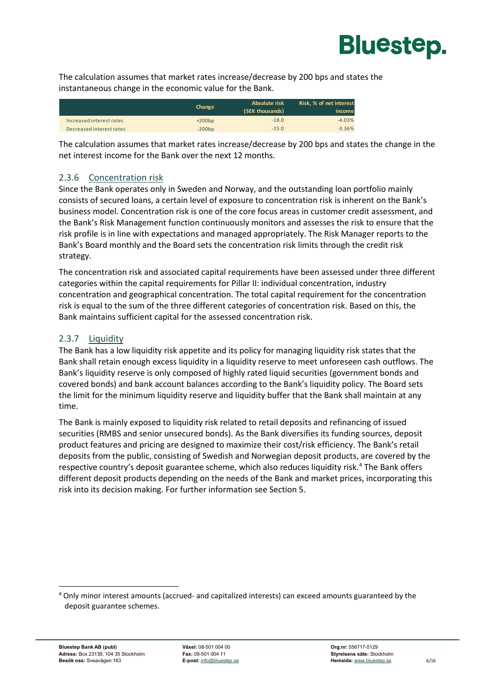

The calculation assumes that market rates increase/decrease by 200 bps and states the instantaneous change in the economic value for the Bank.

|                          | Change   | Absolute risk<br>(SEK thousands) | Risk, % of net interest<br>income |
|--------------------------|----------|----------------------------------|-----------------------------------|
| Increased interest rates | $+200bp$ | $-18.0$                          | $-4.03%$                          |
| Decreased interest rates | $-200bp$ | $-15.0$                          | $-3.36%$                          |

The calculation assumes that market rates increase/decrease by 200 bps and states the change in the net interest income for the Bank over the next 12 months.

#### 2.3.6 Concentration risk

Since the Bank operates only in Sweden and Norway, and the outstanding loan portfolio mainly consists of secured loans, a certain level of exposure to concentration risk is inherent on the Bank's business model. Concentration risk is one of the core focus areas in customer credit assessment, and the Bank's Risk Management function continuously monitors and assesses the risk to ensure that the risk profile is in line with expectations and managed appropriately. The Risk Manager reports to the Bank's Board monthly and the Board sets the concentration risk limits through the credit risk strategy.

The concentration risk and associated capital requirements have been assessed under three different categories within the capital requirements for Pillar II: individual concentration, industry concentration and geographical concentration. The total capital requirement for the concentration risk is equal to the sum of the three different categories of concentration risk. Based on this, the Bank maintains sufficient capital for the assessed concentration risk.

#### 2.3.7 Liquidity

The Bank has a low liquidity risk appetite and its policy for managing liquidity risk states that the Bank shall retain enough excess liquidity in a liquidity reserve to meet unforeseen cash outflows. The Bank's liquidity reserve is only composed of highly rated liquid securities (government bonds and covered bonds) and bank account balances according to the Bank's liquidity policy. The Board sets the limit for the minimum liquidity reserve and liquidity buffer that the Bank shall maintain at any time.

The Bank is mainly exposed to liquidity risk related to retail deposits and refinancing of issued securities (RMBS and senior unsecured bonds). As the Bank diversifies its funding sources, deposit product features and pricing are designed to maximize their cost/risk efficiency. The Bank's retail deposits from the public, consisting of Swedish and Norwegian deposit products, are covered by the respective country's deposit guarantee scheme, which also reduces liquidity risk.[4](#page-7-0) The Bank offers different deposit products depending on the needs of the Bank and market prices, incorporating this risk into its decision making. For further information see Section [5.](#page-16-0)

<span id="page-7-0"></span> <sup>4</sup> Only minor interest amounts (accrued- and capitalized interests) can exceed amounts guaranteed by the deposit guarantee schemes.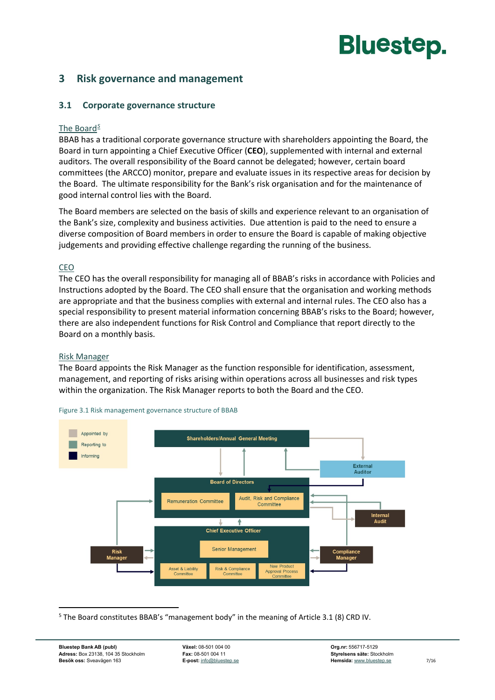### <span id="page-8-1"></span><span id="page-8-0"></span>**3 Risk governance and management**

#### **3.1 Corporate governance structure**

#### The Board*[5](#page-8-2)*

BBAB has a traditional corporate governance structure with shareholders appointing the Board, the Board in turn appointing a Chief Executive Officer (**CEO**), supplemented with internal and external auditors. The overall responsibility of the Board cannot be delegated; however, certain board committees (the ARCCO) monitor, prepare and evaluate issues in its respective areas for decision by the Board. The ultimate responsibility for the Bank's risk organisation and for the maintenance of good internal control lies with the Board.

The Board members are selected on the basis of skills and experience relevant to an organisation of the Bank's size, complexity and business activities. Due attention is paid to the need to ensure a diverse composition of Board members in order to ensure the Board is capable of making objective judgements and providing effective challenge regarding the running of the business.

#### CEO

The CEO has the overall responsibility for managing all of BBAB's risks in accordance with Policies and Instructions adopted by the Board. The CEO shall ensure that the organisation and working methods are appropriate and that the business complies with external and internal rules. The CEO also has a special responsibility to present material information concerning BBAB's risks to the Board; however, there are also independent functions for Risk Control and Compliance that report directly to the Board on a monthly basis.

#### Risk Manager

The Board appoints the Risk Manager as the function responsible for identification, assessment, management, and reporting of risks arising within operations across all businesses and risk types within the organization. The Risk Manager reports to both the Board and the CEO.



Figure 3.1 Risk management governance structure of BBAB

<span id="page-8-2"></span> <sup>5</sup> The Board constitutes BBAB's "management body" in the meaning of Article 3.1 (8) CRD IV.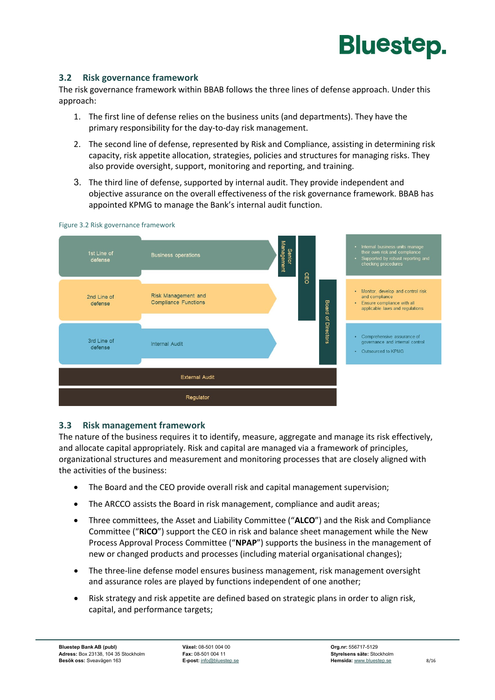

#### <span id="page-9-0"></span>**3.2 Risk governance framework**

The risk governance framework within BBAB follows the three lines of defense approach. Under this approach:

- 1. The first line of defense relies on the business units (and departments). They have the primary responsibility for the day-to-day risk management.
- 2. The second line of defense, represented by Risk and Compliance, assisting in determining risk capacity, risk appetite allocation, strategies, policies and structures for managing risks. They also provide oversight, support, monitoring and reporting, and training.
- 3. The third line of defense, supported by internal audit. They provide independent and objective assurance on the overall effectiveness of the risk governance framework. BBAB has appointed KPMG to manage the Bank's internal audit function.



#### Figure 3.2 Risk governance framework

#### <span id="page-9-1"></span>**3.3 Risk management framework**

The nature of the business requires it to identify, measure, aggregate and manage its risk effectively, and allocate capital appropriately. Risk and capital are managed via a framework of principles, organizational structures and measurement and monitoring processes that are closely aligned with the activities of the business:

- The Board and the CEO provide overall risk and capital management supervision;
- The ARCCO assists the Board in risk management, compliance and audit areas;
- Three committees, the Asset and Liability Committee ("**ALCO**") and the Risk and Compliance Committee ("**RiCO**") support the CEO in risk and balance sheet management while the New Process Approval Process Committee ("**NPAP**") supports the business in the management of new or changed products and processes (including material organisational changes);
- The three-line defense model ensures business management, risk management oversight and assurance roles are played by functions independent of one another;
- Risk strategy and risk appetite are defined based on strategic plans in order to align risk, capital, and performance targets;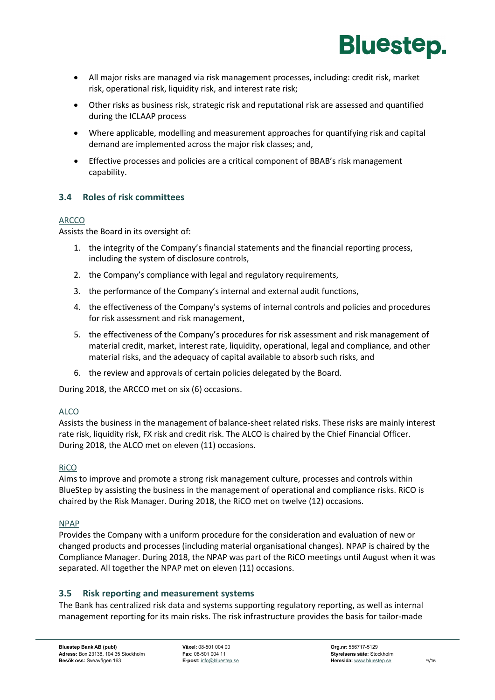

- All major risks are managed via risk management processes, including: credit risk, market risk, operational risk, liquidity risk, and interest rate risk;
- Other risks as business risk, strategic risk and reputational risk are assessed and quantified during the ICLAAP process
- Where applicable, modelling and measurement approaches for quantifying risk and capital demand are implemented across the major risk classes; and,
- Effective processes and policies are a critical component of BBAB's risk management capability.

#### <span id="page-10-0"></span>**3.4 Roles of risk committees**

#### ARCCO

Assists the Board in its oversight of:

- 1. the integrity of the Company's financial statements and the financial reporting process, including the system of disclosure controls,
- 2. the Company's compliance with legal and regulatory requirements,
- 3. the performance of the Company's internal and external audit functions,
- 4. the effectiveness of the Company's systems of internal controls and policies and procedures for risk assessment and risk management,
- 5. the effectiveness of the Company's procedures for risk assessment and risk management of material credit, market, interest rate, liquidity, operational, legal and compliance, and other material risks, and the adequacy of capital available to absorb such risks, and
- 6. the review and approvals of certain policies delegated by the Board.

During 2018, the ARCCO met on six (6) occasions.

#### ALCO

Assists the business in the management of balance-sheet related risks. These risks are mainly interest rate risk, liquidity risk, FX risk and credit risk. The ALCO is chaired by the Chief Financial Officer. During 2018, the ALCO met on eleven (11) occasions.

#### RiCO

Aims to improve and promote a strong risk management culture, processes and controls within BlueStep by assisting the business in the management of operational and compliance risks. RiCO is chaired by the Risk Manager. During 2018, the RiCO met on twelve (12) occasions.

#### NPAP

Provides the Company with a uniform procedure for the consideration and evaluation of new or changed products and processes (including material organisational changes). NPAP is chaired by the Compliance Manager. During 2018, the NPAP was part of the RiCO meetings until August when it was separated. All together the NPAP met on eleven (11) occasions.

#### <span id="page-10-1"></span>**3.5 Risk reporting and measurement systems**

The Bank has centralized risk data and systems supporting regulatory reporting, as well as internal management reporting for its main risks. The risk infrastructure provides the basis for tailor-made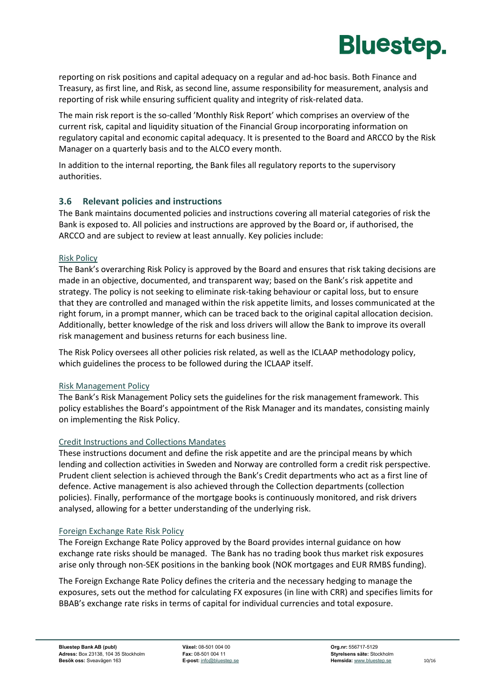

reporting on risk positions and capital adequacy on a regular and ad-hoc basis. Both Finance and Treasury, as first line, and Risk, as second line, assume responsibility for measurement, analysis and reporting of risk while ensuring sufficient quality and integrity of risk-related data.

The main risk report is the so-called 'Monthly Risk Report' which comprises an overview of the current risk, capital and liquidity situation of the Financial Group incorporating information on regulatory capital and economic capital adequacy. It is presented to the Board and ARCCO by the Risk Manager on a quarterly basis and to the ALCO every month.

In addition to the internal reporting, the Bank files all regulatory reports to the supervisory authorities.

#### <span id="page-11-0"></span>**3.6 Relevant policies and instructions**

The Bank maintains documented policies and instructions covering all material categories of risk the Bank is exposed to. All policies and instructions are approved by the Board or, if authorised, the ARCCO and are subject to review at least annually. Key policies include:

#### Risk Policy

The Bank's overarching Risk Policy is approved by the Board and ensures that risk taking decisions are made in an objective, documented, and transparent way; based on the Bank's risk appetite and strategy. The policy is not seeking to eliminate risk-taking behaviour or capital loss, but to ensure that they are controlled and managed within the risk appetite limits, and losses communicated at the right forum, in a prompt manner, which can be traced back to the original capital allocation decision. Additionally, better knowledge of the risk and loss drivers will allow the Bank to improve its overall risk management and business returns for each business line.

The Risk Policy oversees all other policies risk related, as well as the ICLAAP methodology policy, which guidelines the process to be followed during the ICLAAP itself.

#### Risk Management Policy

The Bank's Risk Management Policy sets the guidelines for the risk management framework. This policy establishes the Board's appointment of the Risk Manager and its mandates, consisting mainly on implementing the Risk Policy.

#### Credit Instructions and Collections Mandates

These instructions document and define the risk appetite and are the principal means by which lending and collection activities in Sweden and Norway are controlled form a credit risk perspective. Prudent client selection is achieved through the Bank's Credit departments who act as a first line of defence. Active management is also achieved through the Collection departments (collection policies). Finally, performance of the mortgage books is continuously monitored, and risk drivers analysed, allowing for a better understanding of the underlying risk.

#### Foreign Exchange Rate Risk Policy

The Foreign Exchange Rate Policy approved by the Board provides internal guidance on how exchange rate risks should be managed. The Bank has no trading book thus market risk exposures arise only through non-SEK positions in the banking book (NOK mortgages and EUR RMBS funding).

The Foreign Exchange Rate Policy defines the criteria and the necessary hedging to manage the exposures, sets out the method for calculating FX exposures (in line with CRR) and specifies limits for BBAB's exchange rate risks in terms of capital for individual currencies and total exposure.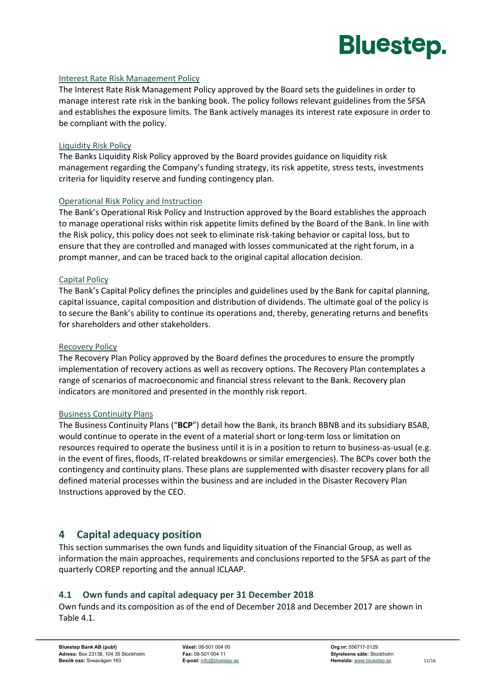

#### Interest Rate Risk Management Policy

The Interest Rate Risk Management Policy approved by the Board sets the guidelines in order to manage interest rate risk in the banking book. The policy follows relevant guidelines from the SFSA and establishes the exposure limits. The Bank actively manages its interest rate exposure in order to be compliant with the policy.

#### Liquidity Risk Policy

The Banks Liquidity Risk Policy approved by the Board provides guidance on liquidity risk management regarding the Company's funding strategy, its risk appetite, stress tests, investments criteria for liquidity reserve and funding contingency plan.

#### Operational Risk Policy and Instruction

The Bank's Operational Risk Policy and Instruction approved by the Board establishes the approach to manage operational risks within risk appetite limits defined by the Board of the Bank. In line with the Risk policy, this policy does not seek to eliminate risk-taking behavior or capital loss, but to ensure that they are controlled and managed with losses communicated at the right forum, in a prompt manner, and can be traced back to the original capital allocation decision.

#### Capital Policy

The Bank's Capital Policy defines the principles and guidelines used by the Bank for capital planning, capital issuance, capital composition and distribution of dividends. The ultimate goal of the policy is to secure the Bank's ability to continue its operations and, thereby, generating returns and benefits for shareholders and other stakeholders.

#### Recovery Policy

The Recovery Plan Policy approved by the Board defines the procedures to ensure the promptly implementation of recovery actions as well as recovery options. The Recovery Plan contemplates a range of scenarios of macroeconomic and financial stress relevant to the Bank. Recovery plan indicators are monitored and presented in the monthly risk report.

#### Business Continuity Plans

The Business Continuity Plans ("**BCP**") detail how the Bank, its branch BBNB and its subsidiary BSAB, would continue to operate in the event of a material short or long-term loss or limitation on resources required to operate the business until it is in a position to return to business-as-usual (e.g. in the event of fires, floods, IT-related breakdowns or similar emergencies). The BCPs cover both the contingency and continuity plans. These plans are supplemented with disaster recovery plans for all defined material processes within the business and are included in the Disaster Recovery Plan Instructions approved by the CEO.

### <span id="page-12-0"></span>**4 Capital adequacy position**

This section summarises the own funds and liquidity situation of the Financial Group, as well as information the main approaches, requirements and conclusions reported to the SFSA as part of the quarterly COREP reporting and the annual ICLAAP.

#### <span id="page-12-1"></span>**4.1 Own funds and capital adequacy per 31 December 2018**

Own funds and its composition as of the end of December 2018 and December 2017 are shown in [Table](#page-13-1) 4.1.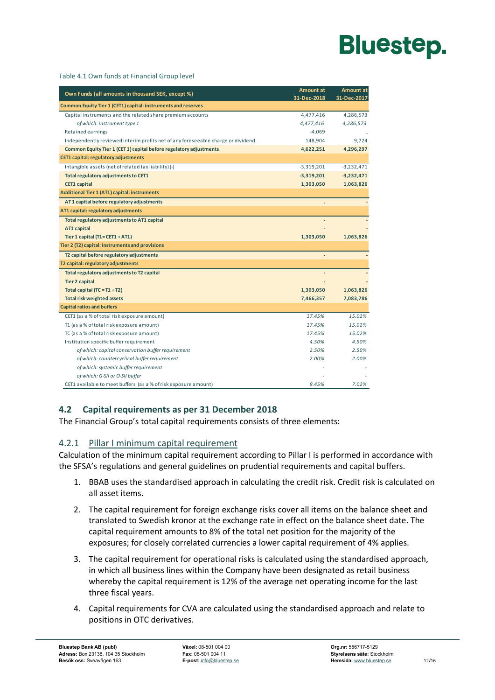#### <span id="page-13-1"></span>Table 4.1 Own funds at Financial Group level

| Own Funds (all amounts in thousand SEK, except %)                                | <b>Amount at</b><br>31-Dec-2018 | Amount at<br>31-Dec-2017 |  |  |
|----------------------------------------------------------------------------------|---------------------------------|--------------------------|--|--|
| Common Equity Tier 1 (CET1) capital: instruments and reserves                    |                                 |                          |  |  |
| Capital instruments and the related share premium accounts                       | 4,477,416                       | 4,286,573                |  |  |
| of which: instrument type 1                                                      | 4,477,416                       | 4,286,573                |  |  |
| Retained earnings                                                                | $-4,069$                        |                          |  |  |
| Independently reviewed interim profits net of any foreseeable charge or dividend | 148,904                         | 9,724                    |  |  |
| Common Equity Tier 1 (CET 1) capital before regulatory adjustments               | 4,622,251                       | 4,296,297                |  |  |
| <b>CET1 capital: regulatory adjustments</b>                                      |                                 |                          |  |  |
| Intangible assets (net of related tax liability) (-)                             | $-3,319,201$                    | $-3,232,471$             |  |  |
| Total regulatory adjustments to CET1                                             | $-3,319,201$                    | $-3,232,471$             |  |  |
| <b>CET1 capital</b>                                                              | 1,303,050                       | 1,063,826                |  |  |
| <b>Additional Tier 1 (AT1) capital: instruments</b>                              |                                 |                          |  |  |
| AT 1 capital before regulatory adjustments                                       |                                 |                          |  |  |
| AT1 capital: regulatory adjustments                                              |                                 |                          |  |  |
| Total regulatory adjustments to AT1 capital                                      |                                 |                          |  |  |
| AT1 capital                                                                      |                                 |                          |  |  |
| Tier 1 capital $(T1 = CET1 + AT1)$                                               | 1,303,050                       | 1,063,826                |  |  |
| Tier 2 (T2) capital: instruments and provisions                                  |                                 |                          |  |  |
| T2 capital before regulatory adjustments                                         |                                 |                          |  |  |
| T2 capital: regulatory adjustments                                               |                                 |                          |  |  |
| Total regulatory adjustments to T2 capital                                       |                                 |                          |  |  |
| <b>Tier 2 capital</b>                                                            |                                 |                          |  |  |
| Total capital $(TC = T1 + T2)$                                                   | 1,303,050                       | 1,063,826                |  |  |
| <b>Total risk weighted assets</b>                                                | 7,466,357                       | 7,083,786                |  |  |
| <b>Capital ratios and buffers</b>                                                |                                 |                          |  |  |
| CET1 (as a % of total risk exposure amount)                                      | 17.45%                          | 15.02%                   |  |  |
| T1 (as a % of total risk exposure amount)                                        | 17.45%                          | 15.02%                   |  |  |
| TC (as a % of total risk exposure amount)                                        | 17.45%                          | 15.02%                   |  |  |
| Institution specific buffer requirement                                          | 4.50%                           | 4.50%                    |  |  |
| of which: capital conservation buffer requirement                                | 2.50%                           | 2.50%                    |  |  |
| of which: countercyclical buffer requirement                                     | 2.00%                           | 2.00%                    |  |  |
| of which: systemic buffer requirement                                            |                                 |                          |  |  |
| of which: G-SII or O-SII buffer                                                  |                                 |                          |  |  |
| CET1 available to meet buffers (as a % of risk exposure amount)                  | 9.45%                           | 7.02%                    |  |  |

### <span id="page-13-0"></span>**4.2 Capital requirements as per 31 December 2018**

The Financial Group's total capital requirements consists of three elements:

#### 4.2.1 Pillar I minimum capital requirement

Calculation of the minimum capital requirement according to Pillar I is performed in accordance with the SFSA's regulations and general guidelines on prudential requirements and capital buffers.

- 1. BBAB uses the standardised approach in calculating the credit risk. Credit risk is calculated on all asset items.
- 2. The capital requirement for foreign exchange risks cover all items on the balance sheet and translated to Swedish kronor at the exchange rate in effect on the balance sheet date. The capital requirement amounts to 8% of the total net position for the majority of the exposures; for closely correlated currencies a lower capital requirement of 4% applies.
- 3. The capital requirement for operational risks is calculated using the standardised approach, in which all business lines within the Company have been designated as retail business whereby the capital requirement is 12% of the average net operating income for the last three fiscal years.
- 4. Capital requirements for CVA are calculated using the standardised approach and relate to positions in OTC derivatives.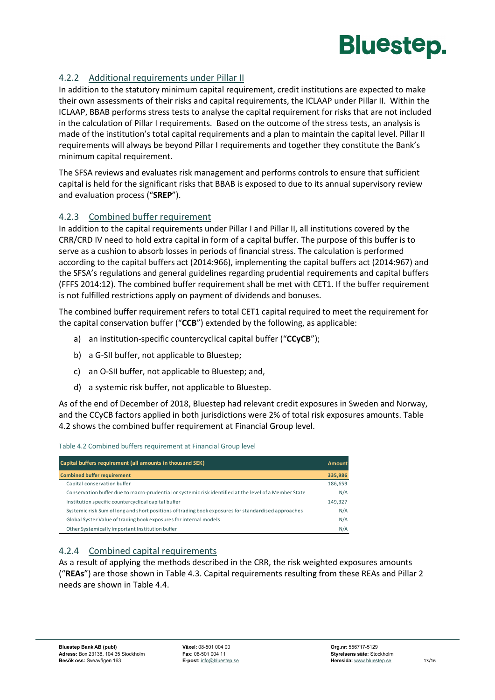

### 4.2.2 Additional requirements under Pillar II

In addition to the statutory minimum capital requirement, credit institutions are expected to make their own assessments of their risks and capital requirements, the ICLAAP under Pillar II. Within the ICLAAP, BBAB performs stress tests to analyse the capital requirement for risks that are not included in the calculation of Pillar I requirements. Based on the outcome of the stress tests, an analysis is made of the institution's total capital requirements and a plan to maintain the capital level. Pillar II requirements will always be beyond Pillar I requirements and together they constitute the Bank's minimum capital requirement.

The SFSA reviews and evaluates risk management and performs controls to ensure that sufficient capital is held for the significant risks that BBAB is exposed to due to its annual supervisory review and evaluation process ("**SREP**").

#### 4.2.3 Combined buffer requirement

In addition to the capital requirements under Pillar I and Pillar II, all institutions covered by the CRR/CRD IV need to hold extra capital in form of a capital buffer. The purpose of this buffer is to serve as a cushion to absorb losses in periods of financial stress. The calculation is performed according to the capital buffers act (2014:966), implementing the capital buffers act (2014:967) and the SFSA's regulations and general guidelines regarding prudential requirements and capital buffers (FFFS 2014:12). The combined buffer requirement shall be met with CET1. If the buffer requirement is not fulfilled restrictions apply on payment of dividends and bonuses.

The combined buffer requirement refers to total CET1 capital required to meet the requirement for the capital conservation buffer ("**CCB**") extended by the following, as applicable:

- a) an institution-specific countercyclical capital buffer ("**CCyCB**");
- b) a G-SII buffer, not applicable to Bluestep;
- c) an O-SII buffer, not applicable to Bluestep; and,
- d) a systemic risk buffer, not applicable to Bluestep.

As of the end of December of 2018, Bluestep had relevant credit exposures in Sweden and Norway, and the CCyCB factors applied in both jurisdictions were 2% of total risk exposures amounts. [Table](#page-14-0)  [4.2](#page-14-0) shows the combined buffer requirement at Financial Group level.

#### <span id="page-14-0"></span>Table 4.2 Combined buffers requirement at Financial Group level

| Capital buffers requirement (all amounts in thousand SEK)                                              |         |
|--------------------------------------------------------------------------------------------------------|---------|
| <b>Combined buffer requirement</b>                                                                     | 335,986 |
| Capital conservation buffer                                                                            | 186,659 |
| Conservation buffer due to macro-prudential or systemic risk identified at the level of a Member State | N/A     |
| Institution specific countercyclical capital buffer                                                    | 149,327 |
| Systemic risk Sum of long and short positions of trading book exposures for standardised approaches    | N/A     |
| Global Syster Value of trading book exposures for internal models                                      | N/A     |
| Other Systemically Important Institution buffer                                                        | N/A     |

#### 4.2.4 Combined capital requirements

As a result of applying the methods described in the CRR, the risk weighted exposures amounts ("**REAs**") are those shown in [Table 4.3.](#page-15-0) Capital requirements resulting from these REAs and Pillar 2 needs are shown in [Table 4.4.](#page-15-1)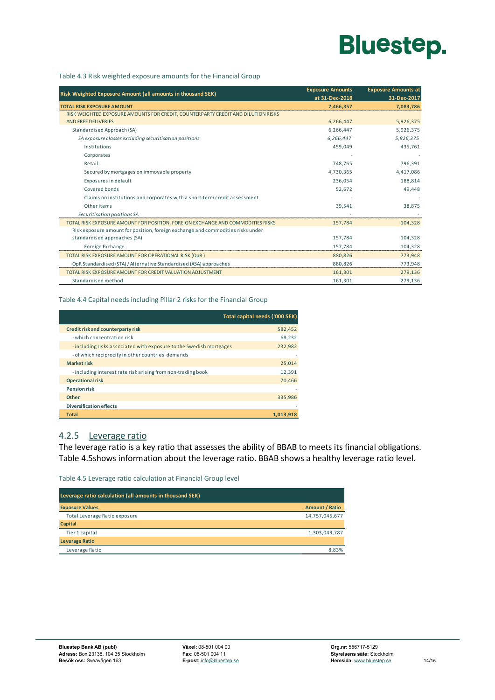

#### <span id="page-15-0"></span>Table 4.3 Risk weighted exposure amounts for the Financial Group

| Risk Weighted Exposure Amount (all amounts in thousand SEK)                       | <b>Exposure Amounts</b><br>at 31-Dec-2018 | <b>Exposure Amounts at</b><br>31-Dec-2017 |
|-----------------------------------------------------------------------------------|-------------------------------------------|-------------------------------------------|
| <b>TOTAL RISK EXPOSURE AMOUNT</b>                                                 | 7,466,357                                 | 7,083,786                                 |
| RISK WEIGHTED EXPOSURE AMOUNTS FOR CREDIT, COUNTERPARTY CREDIT AND DILUTION RISKS |                                           |                                           |
| <b>AND FREE DELIVERIES</b>                                                        | 6,266,447                                 | 5,926,375                                 |
| Standardised Approach (SA)                                                        | 6,266,447                                 | 5,926,375                                 |
| SA exposure classes excluding securitisation positions                            | 6.266.447                                 | 5,926,375                                 |
| Institutions                                                                      | 459,049                                   | 435,761                                   |
| Corporates                                                                        |                                           |                                           |
| Retail                                                                            | 748,765                                   | 796,391                                   |
| Secured by mortgages on immovable property                                        | 4,730,365                                 | 4,417,086                                 |
| Exposures in default                                                              | 236,054                                   | 188,814                                   |
| Covered bonds                                                                     | 52,672                                    | 49,448                                    |
| Claims on institutions and corporates with a short-term credit assessment         |                                           |                                           |
| Other items                                                                       | 39,541                                    | 38,875                                    |
| Securitisation positions SA                                                       |                                           |                                           |
| TOTAL RISK EXPOSURE AMOUNT FOR POSITION, FOREIGN EXCHANGE AND COMMODITIES RISKS   | 157,784                                   | 104,328                                   |
| Risk exposure amount for position, foreign exchange and commodities risks under   |                                           |                                           |
| standardised approaches (SA)                                                      | 157,784                                   | 104,328                                   |
| Foreign Exchange                                                                  | 157,784                                   | 104,328                                   |
| TOTAL RISK EXPOSURE AMOUNT FOR OPERATIONAL RISK (OpR)                             | 880,826                                   | 773,948                                   |
| OpR Standardised (STA) / Alternative Standardised (ASA) approaches                | 880,826                                   | 773,948                                   |
| TOTAL RISK EXPOSURE AMOUNT FOR CREDIT VALUATION ADJUSTMENT                        | 161,301                                   | 279,136                                   |
| Standardised method                                                               | 161,301                                   | 279,136                                   |

#### <span id="page-15-1"></span>Table 4.4 Capital needs including Pillar 2 risks for the Financial Group

|              |                                                                    | Total capital needs ('000 SEK) |
|--------------|--------------------------------------------------------------------|--------------------------------|
|              | Credit risk and counterparty risk                                  | 582,452                        |
|              | - which concentration risk                                         | 68,232                         |
|              | -including risks associated with exposure to the Swedish mortgages | 232,982                        |
|              | - of which reciprocity in other countries' demands                 |                                |
|              | <b>Market risk</b>                                                 | 25,014                         |
|              | - including interest rate risk arising from non-trading book       | 12,391                         |
|              | <b>Operational risk</b>                                            | 70.466                         |
|              | <b>Pension risk</b>                                                |                                |
| Other        |                                                                    | 335,986                        |
|              | <b>Diversification effects</b>                                     |                                |
| <b>Total</b> |                                                                    | 1.013.918                      |

### 4.2.5 Leverage ratio

The leverage ratio is a key ratio that assesses the ability of BBAB to meets its financial obligations. [Table 4.5s](#page-15-2)hows information about the leverage ratio. BBAB shows a healthy leverage ratio level.

<span id="page-15-2"></span>Table 4.5 Leverage ratio calculation at Financial Group level

| Leverage ratio calculation (all amounts in thousand SEK) |                       |
|----------------------------------------------------------|-----------------------|
| <b>Exposure Values</b>                                   | <b>Amount / Ratio</b> |
| Total Leverage Ratio exposure                            | 14,757,045,677        |
| <b>Capital</b>                                           |                       |
| Tier 1 capital                                           | 1,303,049,787         |
| <b>Leverage Ratio</b>                                    |                       |
| Leverage Ratio                                           | 883%                  |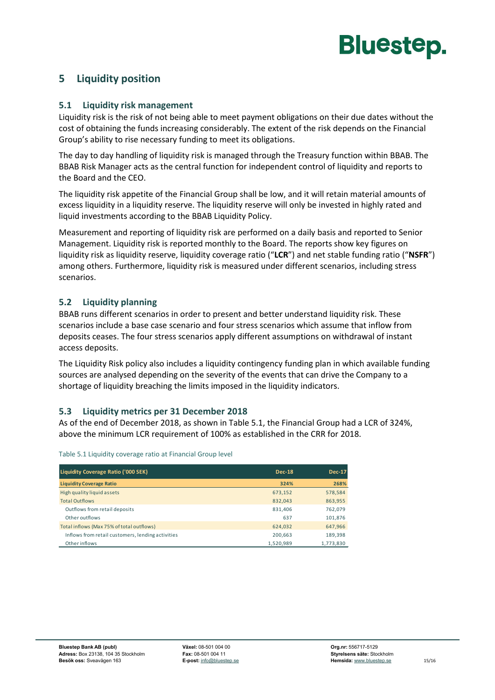

# <span id="page-16-1"></span><span id="page-16-0"></span>**5 Liquidity position**

#### **5.1 Liquidity risk management**

Liquidity risk is the risk of not being able to meet payment obligations on their due dates without the cost of obtaining the funds increasing considerably. The extent of the risk depends on the Financial Group's ability to rise necessary funding to meet its obligations.

The day to day handling of liquidity risk is managed through the Treasury function within BBAB. The BBAB Risk Manager acts as the central function for independent control of liquidity and reports to the Board and the CEO.

The liquidity risk appetite of the Financial Group shall be low, and it will retain material amounts of excess liquidity in a liquidity reserve. The liquidity reserve will only be invested in highly rated and liquid investments according to the BBAB Liquidity Policy.

Measurement and reporting of liquidity risk are performed on a daily basis and reported to Senior Management. Liquidity risk is reported monthly to the Board. The reports show key figures on liquidity risk as liquidity reserve, liquidity coverage ratio ("**LCR**") and net stable funding ratio ("**NSFR**") among others. Furthermore, liquidity risk is measured under different scenarios, including stress scenarios.

#### <span id="page-16-2"></span>**5.2 Liquidity planning**

BBAB runs different scenarios in order to present and better understand liquidity risk. These scenarios include a base case scenario and four stress scenarios which assume that inflow from deposits ceases. The four stress scenarios apply different assumptions on withdrawal of instant access deposits.

The Liquidity Risk policy also includes a liquidity contingency funding plan in which available funding sources are analysed depending on the severity of the events that can drive the Company to a shortage of liquidity breaching the limits imposed in the liquidity indicators.

#### <span id="page-16-3"></span>**5.3 Liquidity metrics per 31 December 2018**

As of the end of December 2018, as shown i[n Table 5.1,](#page-16-4) the Financial Group had a LCR of 324%, above the minimum LCR requirement of 100% as established in the CRR for 2018.

| Liquidity Coverage Ratio ('000 SEK)               | <b>Dec-18</b> | <b>Dec-17</b> |
|---------------------------------------------------|---------------|---------------|
| <b>Liquidity Coverage Ratio</b>                   | 324%          | 268%          |
| High quality liquid assets                        | 673,152       | 578,584       |
| <b>Total Outflows</b>                             | 832.043       | 863,955       |
| Outflows from retail deposits                     | 831,406       | 762,079       |
| Other outflows                                    | 637           | 101,876       |
| Total inflows (Max 75% of total outflows)         | 624.032       | 647,966       |
| Inflows from retail customers, lending activities | 200.663       | 189,398       |
| Other inflows                                     | 1,520,989     | 1,773,830     |

<span id="page-16-4"></span>Table 5.1 Liquidity coverage ratio at Financial Group level